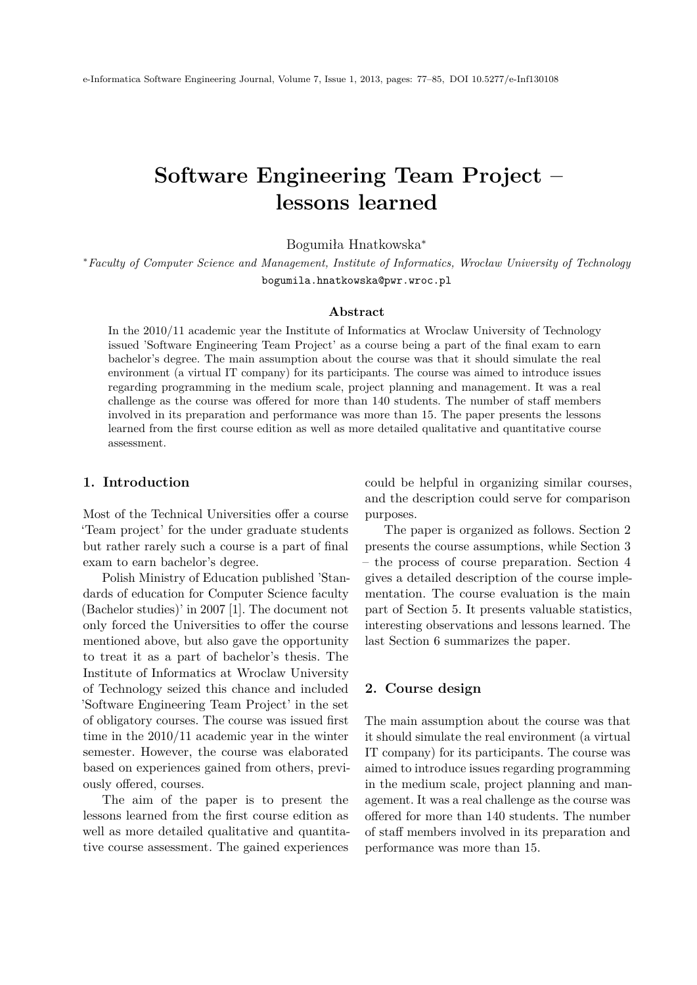# <span id="page-0-0"></span>**Software Engineering Team Project – lessons learned**

Bogumiła Hnatkowska<sup>∗</sup>

<sup>∗</sup>*Faculty of Computer Science and Management, Institute of Informatics, Wrocław University of Technology* bogumila.hnatkowska@pwr.wroc.pl

## **Abstract**

In the 2010/11 academic year the Institute of Informatics at Wroclaw University of Technology issued 'Software Engineering Team Project' as a course being a part of the final exam to earn bachelor's degree. The main assumption about the course was that it should simulate the real environment (a virtual IT company) for its participants. The course was aimed to introduce issues regarding programming in the medium scale, project planning and management. It was a real challenge as the course was offered for more than 140 students. The number of staff members involved in its preparation and performance was more than 15. The paper presents the lessons learned from the first course edition as well as more detailed qualitative and quantitative course assessment.

## **1. Introduction**

Most of the Technical Universities offer a course 'Team project' for the under graduate students but rather rarely such a course is a part of final exam to earn bachelor's degree.

Polish Ministry of Education published 'Standards of education for Computer Science faculty (Bachelor studies)' in 2007 [\[1\]](#page-7-0). The document not only forced the Universities to offer the course mentioned above, but also gave the opportunity to treat it as a part of bachelor's thesis. The Institute of Informatics at Wroclaw University of Technology seized this chance and included 'Software Engineering Team Project' in the set of obligatory courses. The course was issued first time in the 2010/11 academic year in the winter semester. However, the course was elaborated based on experiences gained from others, previously offered, courses.

The aim of the paper is to present the lessons learned from the first course edition as well as more detailed qualitative and quantitative course assessment. The gained experiences

could be helpful in organizing similar courses, and the description could serve for comparison purposes.

The paper is organized as follows. Section 2 presents the course assumptions, while Section 3 – the process of course preparation. Section 4 gives a detailed description of the course implementation. The course evaluation is the main part of Section 5. It presents valuable statistics, interesting observations and lessons learned. The last Section 6 summarizes the paper.

## **2. Course design**

The main assumption about the course was that it should simulate the real environment (a virtual IT company) for its participants. The course was aimed to introduce issues regarding programming in the medium scale, project planning and management. It was a real challenge as the course was offered for more than 140 students. The number of staff members involved in its preparation and performance was more than 15.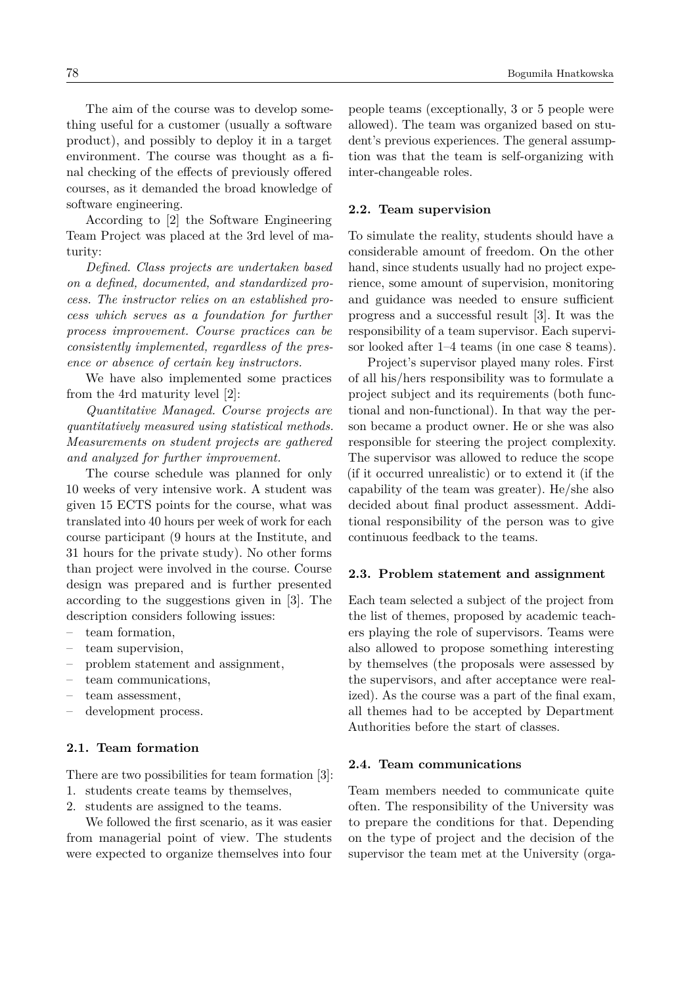The aim of the course was to develop something useful for a customer (usually a software product), and possibly to deploy it in a target environment. The course was thought as a final checking of the effects of previously offered courses, as it demanded the broad knowledge of software engineering.

According to [\[2\]](#page-7-1) the Software Engineering Team Project was placed at the 3rd level of maturity:

*Defined. Class projects are undertaken based on a defined, documented, and standardized process. The instructor relies on an established process which serves as a foundation for further process improvement. Course practices can be consistently implemented, regardless of the presence or absence of certain key instructors.*

We have also implemented some practices from the 4rd maturity level [\[2\]](#page-7-1):

*Quantitative Managed. Course projects are quantitatively measured using statistical methods. Measurements on student projects are gathered and analyzed for further improvement.*

The course schedule was planned for only 10 weeks of very intensive work. A student was given 15 ECTS points for the course, what was translated into 40 hours per week of work for each course participant (9 hours at the Institute, and 31 hours for the private study). No other forms than project were involved in the course. Course design was prepared and is further presented according to the suggestions given in [\[3\]](#page-7-2). The description considers following issues:

- team formation,
- team supervision,
- problem statement and assignment,
- team communications,
- team assessment,
- development process.

# **2.1. Team formation**

There are two possibilities for team formation [\[3\]](#page-7-2):

- 1. students create teams by themselves,
- 2. students are assigned to the teams.

We followed the first scenario, as it was easier from managerial point of view. The students were expected to organize themselves into four people teams (exceptionally, 3 or 5 people were allowed). The team was organized based on student's previous experiences. The general assumption was that the team is self-organizing with inter-changeable roles.

#### **2.2. Team supervision**

To simulate the reality, students should have a considerable amount of freedom. On the other hand, since students usually had no project experience, some amount of supervision, monitoring and guidance was needed to ensure sufficient progress and a successful result [\[3\]](#page-7-2). It was the responsibility of a team supervisor. Each supervisor looked after 1–4 teams (in one case 8 teams).

Project's supervisor played many roles. First of all his/hers responsibility was to formulate a project subject and its requirements (both functional and non-functional). In that way the person became a product owner. He or she was also responsible for steering the project complexity. The supervisor was allowed to reduce the scope (if it occurred unrealistic) or to extend it (if the capability of the team was greater). He/she also decided about final product assessment. Additional responsibility of the person was to give continuous feedback to the teams.

#### **2.3. Problem statement and assignment**

Each team selected a subject of the project from the list of themes, proposed by academic teachers playing the role of supervisors. Teams were also allowed to propose something interesting by themselves (the proposals were assessed by the supervisors, and after acceptance were realized). As the course was a part of the final exam, all themes had to be accepted by Department Authorities before the start of classes.

#### **2.4. Team communications**

Team members needed to communicate quite often. The responsibility of the University was to prepare the conditions for that. Depending on the type of project and the decision of the supervisor the team met at the University (orga-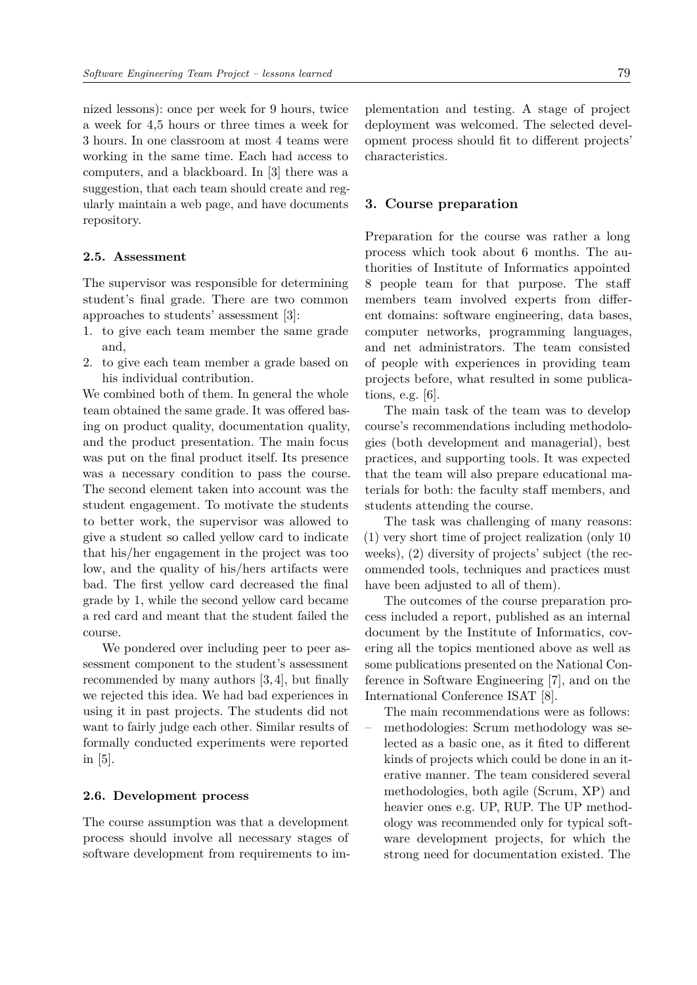nized lessons): once per week for 9 hours, twice a week for 4,5 hours or three times a week for 3 hours. In one classroom at most 4 teams were working in the same time. Each had access to computers, and a blackboard. In [\[3\]](#page-7-2) there was a suggestion, that each team should create and regularly maintain a web page, and have documents repository.

#### **2.5. Assessment**

The supervisor was responsible for determining student's final grade. There are two common approaches to students' assessment [\[3\]](#page-7-2):

- 1. to give each team member the same grade and,
- 2. to give each team member a grade based on his individual contribution.

We combined both of them. In general the whole team obtained the same grade. It was offered basing on product quality, documentation quality, and the product presentation. The main focus was put on the final product itself. Its presence was a necessary condition to pass the course. The second element taken into account was the student engagement. To motivate the students to better work, the supervisor was allowed to give a student so called yellow card to indicate that his/her engagement in the project was too low, and the quality of his/hers artifacts were bad. The first yellow card decreased the final grade by 1, while the second yellow card became a red card and meant that the student failed the course.

We pondered over including peer to peer assessment component to the student's assessment recommended by many authors [\[3,](#page-7-2) [4\]](#page-7-3), but finally we rejected this idea. We had bad experiences in using it in past projects. The students did not want to fairly judge each other. Similar results of formally conducted experiments were reported in [\[5\]](#page-7-4).

#### **2.6. Development process**

The course assumption was that a development process should involve all necessary stages of software development from requirements to implementation and testing. A stage of project deployment was welcomed. The selected development process should fit to different projects' characteristics.

## **3. Course preparation**

Preparation for the course was rather a long process which took about 6 months. The authorities of Institute of Informatics appointed 8 people team for that purpose. The staff members team involved experts from different domains: software engineering, data bases, computer networks, programming languages, and net administrators. The team consisted of people with experiences in providing team projects before, what resulted in some publications, e.g. [\[6\]](#page-7-5).

The main task of the team was to develop course's recommendations including methodologies (both development and managerial), best practices, and supporting tools. It was expected that the team will also prepare educational materials for both: the faculty staff members, and students attending the course.

The task was challenging of many reasons: (1) very short time of project realization (only 10 weeks), (2) diversity of projects' subject (the recommended tools, techniques and practices must have been adjusted to all of them).

The outcomes of the course preparation process included a report, published as an internal document by the Institute of Informatics, covering all the topics mentioned above as well as some publications presented on the National Conference in Software Engineering [\[7\]](#page-7-6), and on the International Conference ISAT [\[8\]](#page-7-7).

The main recommendations were as follows: – methodologies: Scrum methodology was selected as a basic one, as it fited to different kinds of projects which could be done in an iterative manner. The team considered several methodologies, both agile (Scrum, XP) and heavier ones e.g. UP, RUP. The UP methodology was recommended only for typical software development projects, for which the strong need for documentation existed. The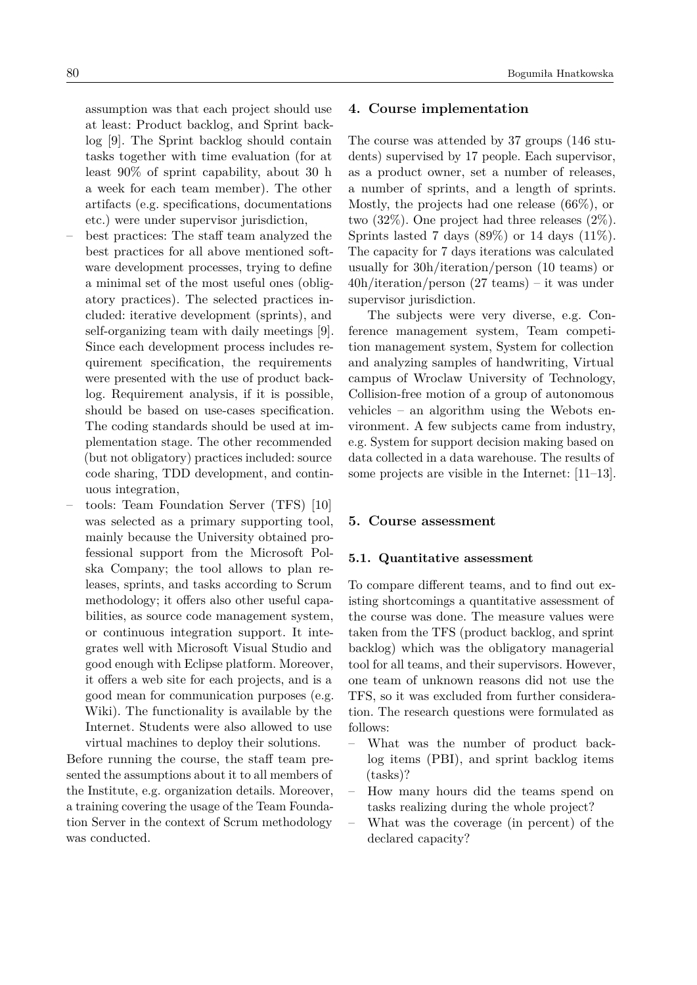assumption was that each project should use at least: Product backlog, and Sprint backlog [\[9\]](#page-7-8). The Sprint backlog should contain tasks together with time evaluation (for at least 90% of sprint capability, about 30 h a week for each team member). The other artifacts (e.g. specifications, documentations etc.) were under supervisor jurisdiction,

- best practices: The staff team analyzed the best practices for all above mentioned software development processes, trying to define a minimal set of the most useful ones (obligatory practices). The selected practices included: iterative development (sprints), and self-organizing team with daily meetings [\[9\]](#page-7-8). Since each development process includes requirement specification, the requirements were presented with the use of product backlog. Requirement analysis, if it is possible, should be based on use-cases specification. The coding standards should be used at implementation stage. The other recommended (but not obligatory) practices included: source code sharing, TDD development, and continuous integration,
- tools: Team Foundation Server (TFS) [\[10\]](#page-7-9) was selected as a primary supporting tool, mainly because the University obtained professional support from the Microsoft Polska Company; the tool allows to plan releases, sprints, and tasks according to Scrum methodology; it offers also other useful capabilities, as source code management system, or continuous integration support. It integrates well with Microsoft Visual Studio and good enough with Eclipse platform. Moreover, it offers a web site for each projects, and is a good mean for communication purposes (e.g. Wiki). The functionality is available by the Internet. Students were also allowed to use virtual machines to deploy their solutions.

Before running the course, the staff team presented the assumptions about it to all members of the Institute, e.g. organization details. Moreover, a training covering the usage of the Team Foundation Server in the context of Scrum methodology was conducted.

## **4. Course implementation**

The course was attended by 37 groups (146 students) supervised by 17 people. Each supervisor, as a product owner, set a number of releases, a number of sprints, and a length of sprints. Mostly, the projects had one release (66%), or two (32%). One project had three releases (2%). Sprints lasted 7 days  $(89\%)$  or 14 days  $(11\%).$ The capacity for 7 days iterations was calculated usually for 30h/iteration/person (10 teams) or 40h/iteration/person (27 teams) – it was under supervisor jurisdiction.

The subjects were very diverse, e.g. Conference management system, Team competition management system, System for collection and analyzing samples of handwriting, Virtual campus of Wroclaw University of Technology, Collision-free motion of a group of autonomous vehicles – an algorithm using the Webots environment. A few subjects came from industry, e.g. System for support decision making based on data collected in a data warehouse. The results of some projects are visible in the Internet: [\[11](#page-7-10)[–13\]](#page-8-1).

#### **5. Course assessment**

#### **5.1. Quantitative assessment**

To compare different teams, and to find out existing shortcomings a quantitative assessment of the course was done. The measure values were taken from the TFS (product backlog, and sprint backlog) which was the obligatory managerial tool for all teams, and their supervisors. However, one team of unknown reasons did not use the TFS, so it was excluded from further consideration. The research questions were formulated as follows:

- What was the number of product backlog items (PBI), and sprint backlog items (tasks)?
- How many hours did the teams spend on tasks realizing during the whole project?
- What was the coverage (in percent) of the declared capacity?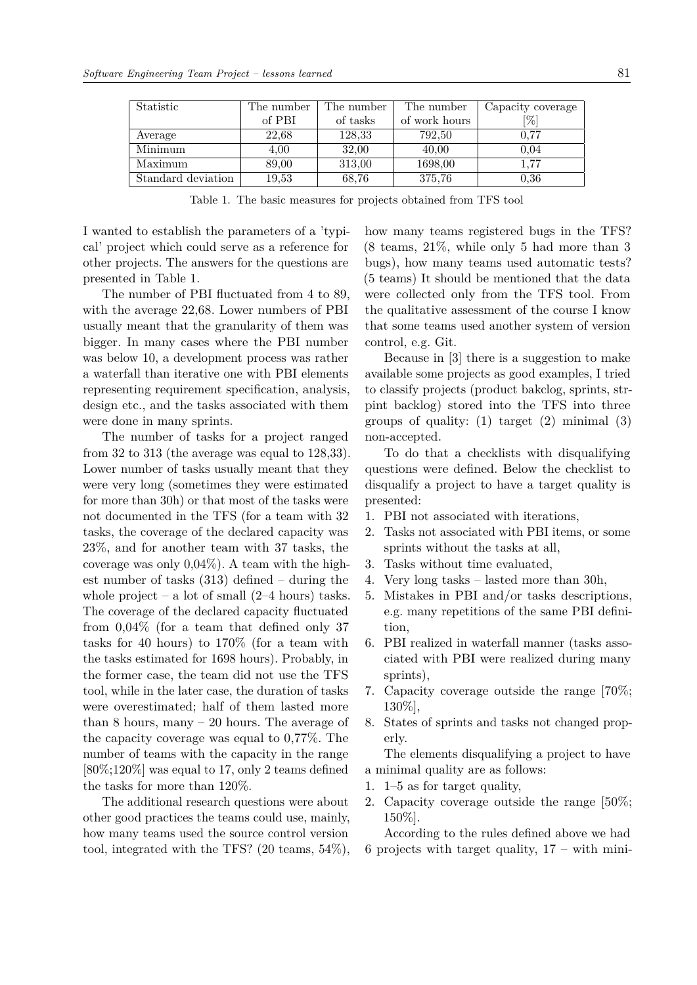| Statistic          | The number | The number | The number    | Capacity coverage |
|--------------------|------------|------------|---------------|-------------------|
|                    | of PBI     | of tasks   | of work hours | [%]               |
| Average            | 22,68      | 128,33     | 792,50        | 0.77              |
| Minimum            | 4.00       | 32,00      | 40,00         | 0.04              |
| Maximum            | 89,00      | 313,00     | 1698,00       | 1.77              |
| Standard deviation | 19,53      | 68.76      | 375,76        | 0.36              |

Table 1. The basic measures for projects obtained from TFS tool

I wanted to establish the parameters of a 'typical' project which could serve as a reference for other projects. The answers for the questions are presented in Table 1.

The number of PBI fluctuated from 4 to 89, with the average 22,68. Lower numbers of PBI usually meant that the granularity of them was bigger. In many cases where the PBI number was below 10, a development process was rather a waterfall than iterative one with PBI elements representing requirement specification, analysis, design etc., and the tasks associated with them were done in many sprints.

The number of tasks for a project ranged from 32 to 313 (the average was equal to 128,33). Lower number of tasks usually meant that they were very long (sometimes they were estimated for more than 30h) or that most of the tasks were not documented in the TFS (for a team with 32 tasks, the coverage of the declared capacity was 23%, and for another team with 37 tasks, the coverage was only 0,04%). A team with the highest number of tasks (313) defined – during the whole project – a lot of small  $(2-4$  hours) tasks. The coverage of the declared capacity fluctuated from 0,04% (for a team that defined only 37 tasks for 40 hours) to 170% (for a team with the tasks estimated for 1698 hours). Probably, in the former case, the team did not use the TFS tool, while in the later case, the duration of tasks were overestimated; half of them lasted more than 8 hours, many – 20 hours. The average of the capacity coverage was equal to 0,77%. The number of teams with the capacity in the range [80%;120%] was equal to 17, only 2 teams defined the tasks for more than 120%.

The additional research questions were about other good practices the teams could use, mainly, how many teams used the source control version tool, integrated with the TFS? (20 teams, 54%), how many teams registered bugs in the TFS? (8 teams, 21%, while only 5 had more than 3 bugs), how many teams used automatic tests? (5 teams) It should be mentioned that the data were collected only from the TFS tool. From the qualitative assessment of the course I know that some teams used another system of version control, e.g. Git.

Because in [\[3\]](#page-7-2) there is a suggestion to make available some projects as good examples, I tried to classify projects (product bakclog, sprints, strpint backlog) stored into the TFS into three groups of quality:  $(1)$  target  $(2)$  minimal  $(3)$ non-accepted.

To do that a checklists with disqualifying questions were defined. Below the checklist to disqualify a project to have a target quality is presented:

- 1. PBI not associated with iterations,
- 2. Tasks not associated with PBI items, or some sprints without the tasks at all,
- 3. Tasks without time evaluated,
- 4. Very long tasks lasted more than 30h,
- 5. Mistakes in PBI and/or tasks descriptions, e.g. many repetitions of the same PBI definition,
- 6. PBI realized in waterfall manner (tasks associated with PBI were realized during many sprints),
- 7. Capacity coverage outside the range [70%; 130%],
- 8. States of sprints and tasks not changed properly.

The elements disqualifying a project to have a minimal quality are as follows:

- 1. 1–5 as for target quality,
- 2. Capacity coverage outside the range [50%; 150%].

According to the rules defined above we had 6 projects with target quality,  $17 - \text{with mini-}$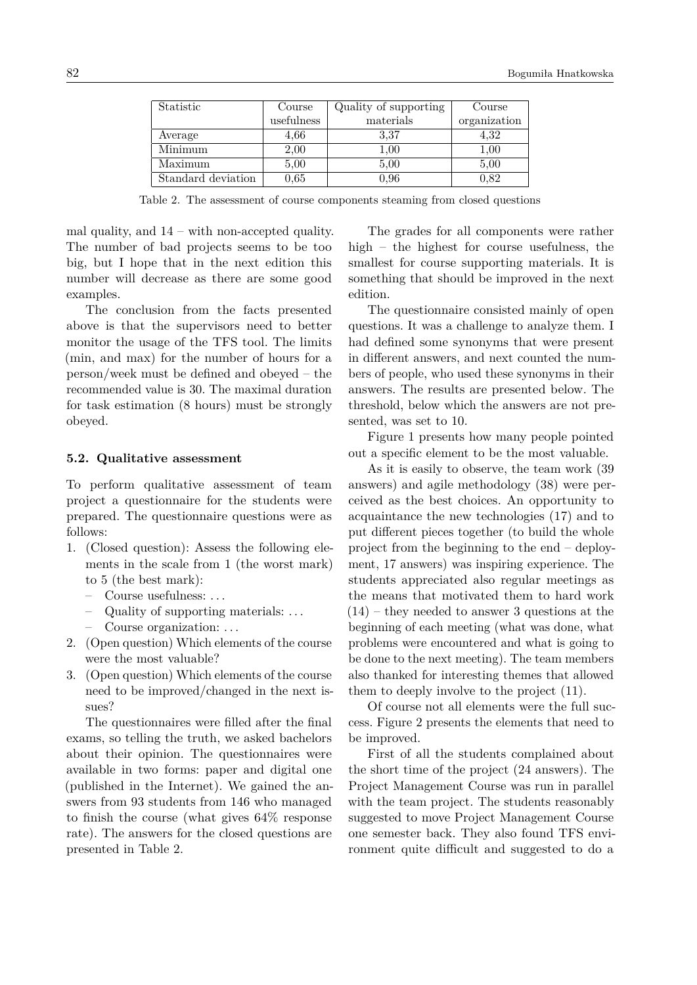| Statistic          | Course     | Quality of supporting | Course       |
|--------------------|------------|-----------------------|--------------|
|                    | usefulness | materials             | organization |
| Average            | 4,66       | 3.37                  | 4,32         |
| Minimum            | 2,00       | 1,00                  | 1,00         |
| Maximum            | 5,00       | 5.00                  | 5,00         |
| Standard deviation | $\rm 0.65$ | 0.96                  | 0.82         |

Table 2. The assessment of course components steaming from closed questions

mal quality, and 14 – with non-accepted quality. The number of bad projects seems to be too big, but I hope that in the next edition this number will decrease as there are some good examples.

The conclusion from the facts presented above is that the supervisors need to better monitor the usage of the TFS tool. The limits (min, and max) for the number of hours for a person/week must be defined and obeyed – the recommended value is 30. The maximal duration for task estimation (8 hours) must be strongly obeyed.

#### **5.2. Qualitative assessment**

To perform qualitative assessment of team project a questionnaire for the students were prepared. The questionnaire questions were as follows:

- 1. (Closed question): Assess the following elements in the scale from 1 (the worst mark) to 5 (the best mark):
	- Course usefulness: . . .
	- Quality of supporting materials: . . .
	- Course organization: . . .
- 2. (Open question) Which elements of the course were the most valuable?
- 3. (Open question) Which elements of the course need to be improved/changed in the next issues?

The questionnaires were filled after the final exams, so telling the truth, we asked bachelors about their opinion. The questionnaires were available in two forms: paper and digital one (published in the Internet). We gained the answers from 93 students from 146 who managed to finish the course (what gives 64% response rate). The answers for the closed questions are presented in Table 2.

The grades for all components were rather high – the highest for course usefulness, the smallest for course supporting materials. It is something that should be improved in the next edition.

The questionnaire consisted mainly of open questions. It was a challenge to analyze them. I had defined some synonyms that were present in different answers, and next counted the numbers of people, who used these synonyms in their answers. The results are presented below. The threshold, below which the answers are not presented, was set to 10.

Figure 1 presents how many people pointed out a specific element to be the most valuable.

As it is easily to observe, the team work (39 answers) and agile methodology (38) were perceived as the best choices. An opportunity to acquaintance the new technologies (17) and to put different pieces together (to build the whole project from the beginning to the end – deployment, 17 answers) was inspiring experience. The students appreciated also regular meetings as the means that motivated them to hard work (14) – they needed to answer 3 questions at the beginning of each meeting (what was done, what problems were encountered and what is going to be done to the next meeting). The team members also thanked for interesting themes that allowed them to deeply involve to the project (11).

Of course not all elements were the full success. Figure 2 presents the elements that need to be improved.

First of all the students complained about the short time of the project (24 answers). The Project Management Course was run in parallel with the team project. The students reasonably suggested to move Project Management Course one semester back. They also found TFS environment quite difficult and suggested to do a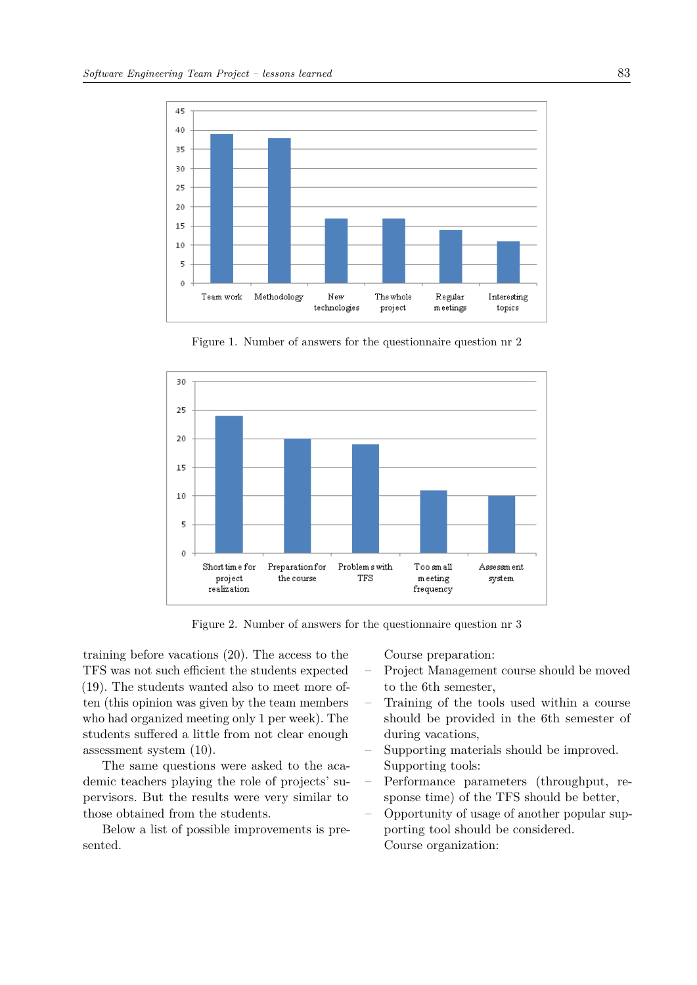

Figure 1. Number of answers for the questionnaire question nr 2



Figure 2. Number of answers for the questionnaire question nr 3

training before vacations (20). The access to the TFS was not such efficient the students expected (19). The students wanted also to meet more often (this opinion was given by the team members who had organized meeting only 1 per week). The students suffered a little from not clear enough assessment system (10).

The same questions were asked to the academic teachers playing the role of projects' supervisors. But the results were very similar to those obtained from the students.

Below a list of possible improvements is presented.

Course preparation:

- Project Management course should be moved to the 6th semester,
- Training of the tools used within a course should be provided in the 6th semester of during vacations,
- Supporting materials should be improved. Supporting tools:
- Performance parameters (throughput, response time) of the TFS should be better,
- Opportunity of usage of another popular supporting tool should be considered. Course organization: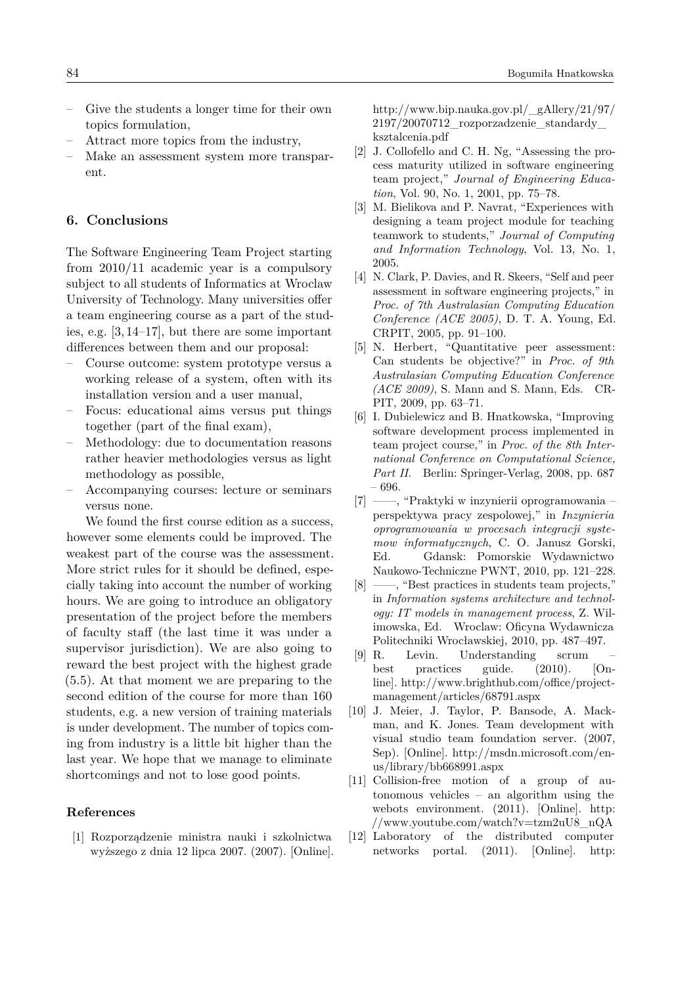- Give the students a longer time for their own topics formulation,
- Attract more topics from the industry,
- Make an assessment system more transparent.

### **6. Conclusions**

The Software Engineering Team Project starting from 2010/11 academic year is a compulsory subject to all students of Informatics at Wroclaw University of Technology. Many universities offer a team engineering course as a part of the studies, e.g. [\[3,](#page-7-2) [14–](#page-8-2)[17\]](#page-8-3), but there are some important differences between them and our proposal:

- Course outcome: system prototype versus a working release of a system, often with its installation version and a user manual,
- Focus: educational aims versus put things together (part of the final exam),
- Methodology: due to documentation reasons rather heavier methodologies versus as light methodology as possible,
- Accompanying courses: lecture or seminars versus none.

We found the first course edition as a success. however some elements could be improved. The weakest part of the course was the assessment. More strict rules for it should be defined, especially taking into account the number of working hours. We are going to introduce an obligatory presentation of the project before the members of faculty staff (the last time it was under a supervisor jurisdiction). We are also going to reward the best project with the highest grade (5.5). At that moment we are preparing to the second edition of the course for more than 160 students, e.g. a new version of training materials is under development. The number of topics coming from industry is a little bit higher than the last year. We hope that we manage to eliminate shortcomings and not to lose good points.

## **References**

<span id="page-7-0"></span>[1] Rozporządzenie ministra nauki i szkolnictwa wyższego z dnia 12 lipca 2007. (2007). [Online]. [http://www.bip.nauka.gov.pl/\\_gAllery/21/97/](http://www.bip.nauka.gov.pl/_gAllery/21/97/2197/20070712_rozporzadzenie_standardy_ksztalcenia.pdf) [2197/20070712\\_rozporzadzenie\\_standardy\\_](http://www.bip.nauka.gov.pl/_gAllery/21/97/2197/20070712_rozporzadzenie_standardy_ksztalcenia.pdf) [ksztalcenia.pdf](http://www.bip.nauka.gov.pl/_gAllery/21/97/2197/20070712_rozporzadzenie_standardy_ksztalcenia.pdf)

- <span id="page-7-1"></span>[2] J. Collofello and C. H. Ng, "Assessing the process maturity utilized in software engineering team project," *Journal of Engineering Education*, Vol. 90, No. 1, 2001, pp. 75–78.
- <span id="page-7-2"></span>[3] M. Bielikova and P. Navrat, "Experiences with designing a team project module for teaching teamwork to students," *Journal of Computing and Information Technology*, Vol. 13, No. 1, 2005.
- <span id="page-7-3"></span>[4] N. Clark, P. Davies, and R. Skeers, "Self and peer assessment in software engineering projects," in *Proc. of 7th Australasian Computing Education Conference (ACE 2005)*, D. T. A. Young, Ed. CRPIT, 2005, pp. 91–100.
- <span id="page-7-4"></span>[5] N. Herbert, "Quantitative peer assessment: Can students be objective?" in *Proc. of 9th Australasian Computing Education Conference (ACE 2009)*, S. Mann and S. Mann, Eds. CR-PIT, 2009, pp. 63–71.
- <span id="page-7-5"></span>[6] I. Dubielewicz and B. Hnatkowska, "Improving software development process implemented in team project course," in *Proc. of the 8th International Conference on Computational Science,* Part II. Berlin: Springer-Verlag, 2008, pp. 687 – 696.
- <span id="page-7-6"></span>[7] ——, "Praktyki w inzynierii oprogramowania – perspektywa pracy zespolowej," in *Inzynieria oprogramowania w procesach integracji systemow informatycznych*, C. O. Janusz Gorski, Ed. Gdansk: Pomorskie Wydawnictwo Naukowo-Techniczne PWNT, 2010, pp. 121–228.
- <span id="page-7-7"></span>[8] ——, "Best practices in students team projects," in *Information systems architecture and technology: IT models in management process*, Z. Wilimowska, Ed. Wroclaw: Oficyna Wydawnicza Politechniki Wrocławskiej, 2010, pp. 487–497.
- <span id="page-7-8"></span>[9] R. Levin. Understanding scrum – best practices guide. (2010). [Online]. [http://www.brighthub.com/office/project](http://www.brighthub.com/office/project- management/articles/68791.aspx)[management/articles/68791.aspx](http://www.brighthub.com/office/project- management/articles/68791.aspx)
- <span id="page-7-9"></span>[10] J. Meier, J. Taylor, P. Bansode, A. Mackman, and K. Jones. Team development with visual studio team foundation server. (2007, Sep). [Online]. [http://msdn.microsoft.com/en](http://msdn.microsoft.com/en-us/library/bb668991.aspx)[us/library/bb668991.aspx](http://msdn.microsoft.com/en-us/library/bb668991.aspx)
- <span id="page-7-10"></span>[11] Collision-free motion of a group of autonomous vehicles – an algorithm using the webots environment. (2011). [Online]. [http:](http://www.youtube.com/watch?v=tzm2uU8_nQA) [//www.youtube.com/watch?v=tzm2uU8\\_nQA](http://www.youtube.com/watch?v=tzm2uU8_nQA)
- [12] Laboratory of the distributed computer networks portal. (2011). [Online]. [http:](http://156.17.130.12/Main.aspx)